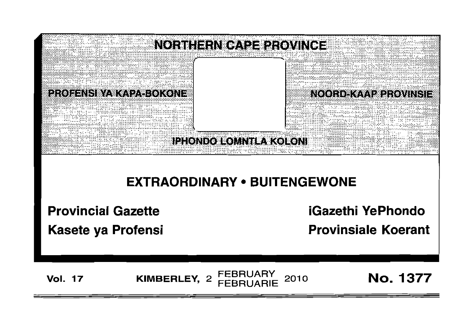

# **EXTRAORDINARY • BUITENGEWONE**

**Provincial Gazette**

**Kasete ya Profensi**

**iGazethi YePhondo**

**Provinsiale Koerant**

**Vol. <sup>17</sup>** FEBRUARY **KIMBERLEY,** <sup>2</sup> FEBRUARIE <sup>2010</sup> No. 1377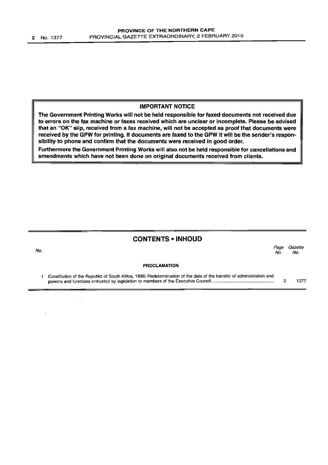No.

#### IMPORTANT NOTICE

The Government Printing Works will not be held responsible for faxed documents not received due to errors on the fax machine or faxes received which are unclear or incomplete. Please be advised that an "OK" slip, received from a fax machine, will not be accepted as proof that documents were received by the GPW for printing. If documents are faxed to the GPW it will be the sender's responsibility to phone and confirm that the documents were received in good order.

Furthermore the Government Printing Works will also not be held responsible for cancellations and amendments which have not been done on original documents received from clients.

#### CONTENTS -INHOUD

*Page Gazette* No. No.

PROCLAMATION

1 Constitution of the Republic of South Africa, 1996: Redetermination of the date of the transfer of administration and powers and functions entrusted by legislation to members of the Executive Council . 3 1377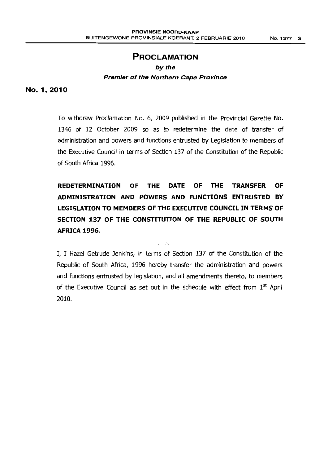## **PROCLAMATION**

#### by the

#### **Premier of the Northern Cape Province**

#### No. 1,2010

To withdraw Proclamation No.6, 2009 published in the Provincial Gazette No. 1346 of 12 October 2009 so as to redetermine the date of transfer of administration and powers and functions entrusted by Legislation to members of the Executive Council in terms of Section 137 of the Constitution of the Republic of South Africa 1996.

**REDETERMINATION OF THE DATE OF THE TRANSFER OF ADMINISTRATION AND POWERS AND FUNCTIONS ENTRUSTED BY LEGISLATION TO MEMBERS OFTHE EXECUTIVE COUNCIL IN TERMS OF SECTION 137 OF THE CONSTITUTION OF THE REPUBLIC OF SOUTH AFRICA 1996.**

I, I Hazel Getrude Jenkins, in terms of Section 137 of the Constitution of the Republic of South Africa, 1996 hereby transfer the administration and powers and functions entrusted by legislation, and all amendments thereto, to members of the Executive Council as set out in the schedule with effect from  $1<sup>st</sup>$  April 2010.

 $\sim$   $\beta$  .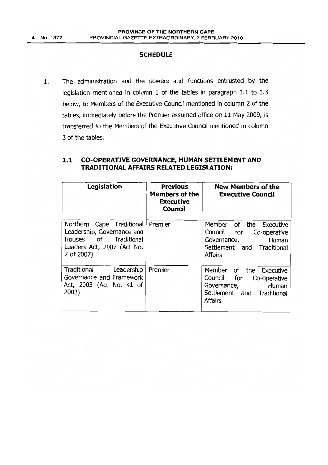#### **SCHEDULE**

1. The administration and the powers and functions entrusted by the legislation mentioned in column 1 of the tables in paragraph 1.1 to 1.3 below, to Members of the Executive Council mentioned in column 2 of the tables, immediately before the Premier assumed office on 11 May 2009, is transferred to the Members of the Executive Council mentioned in column 3 of the tables.

| Legislation                                                                                                                  | <b>Previous</b><br><b>Members of the</b><br><b>Executive</b><br>Council | <b>New Members of the</b><br><b>Executive Council</b>                                                                                |
|------------------------------------------------------------------------------------------------------------------------------|-------------------------------------------------------------------------|--------------------------------------------------------------------------------------------------------------------------------------|
| Northern Cape Traditional<br>Leadership, Governance and<br>Houses of Traditional<br>Leaders Act, 2007 (Act No.<br>2 of 2007) | Premier                                                                 | Member of the<br>Executive<br>Council<br>for<br>Co-operative<br>Human<br>Governance,<br>Settlement and Traditional<br><b>Affairs</b> |
| Traditional<br>Leadership<br>Governance and Framework<br>Act, 2003 (Act No. 41 of<br>2003)                                   | Premier                                                                 | Member of the Executive<br>for<br>Council<br>Co-operative<br>Governance, Human<br>Settlement and Traditional<br><b>Affairs</b>       |

### **1.1 CO-OPERATIVE GOVERNANCE, HUMAN SETTLEMENT AND TRADITIONAL AFFAIRS RELATED LEGISLATION:**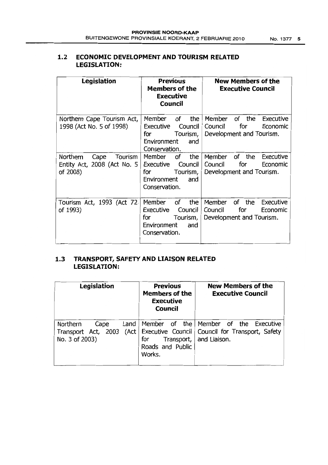| Legislation                                                            | <b>Previous</b><br><b>Members of the</b><br><b>Executive</b><br>Council                               | <b>New Members of the</b><br><b>Executive Council</b>                                      |
|------------------------------------------------------------------------|-------------------------------------------------------------------------------------------------------|--------------------------------------------------------------------------------------------|
| Northern Cape Tourism Act,<br>1998 (Act No. 5 of 1998)                 | the<br>Member<br>of<br>Executive<br>Council<br>for<br>Tourism,<br>Environment<br>and<br>Conservation. | Member<br>of the<br>Executive<br>for<br>Council<br>Economic<br>Development and Tourism.    |
| Northern<br>Cape<br>Tourism<br>Entity Act, 2008 (Act No. 5<br>of 2008) | Member<br>of<br>the<br>Council<br>Executive<br>Tourism,<br>for<br>Environment<br>and<br>Conservation. | Member<br>of the<br>Executive<br>Council<br>for<br>Economic<br>Development and Tourism.    |
| Tourism Act, 1993 (Act 72<br>of 1993)                                  | Member<br>the<br>of<br>Executive<br>Council<br>for<br>Tourism,<br>Environment<br>and<br>Conservation. | Member<br>of<br>the<br>Executive<br>for<br>Council<br>Economic<br>Development and Tourism. |

## **1.2 ECONOMIC DEVELOPMENTAND TOURISM RELATED LEGISLATION:**

## **1.3 TRANSPORT, SAFETY AND LIAISON RELATED LEGISLATION:**

| Legislation                                                                | Previous<br><b>Members of the</b><br><b>Executive</b><br><b>Council</b> | <b>New Members of the</b><br><b>Executive Council</b>                                                         |
|----------------------------------------------------------------------------|-------------------------------------------------------------------------|---------------------------------------------------------------------------------------------------------------|
| Northern<br>Land<br>Cape<br>Transport Act, 2003<br>(Act)<br>No. 3 of 2003) | for<br>Transport,  <br>Roads and Public<br>Works.                       | Member of the Member of the<br>Executive<br>Executive Council   Council for Transport, Safety<br>and Liaison. |